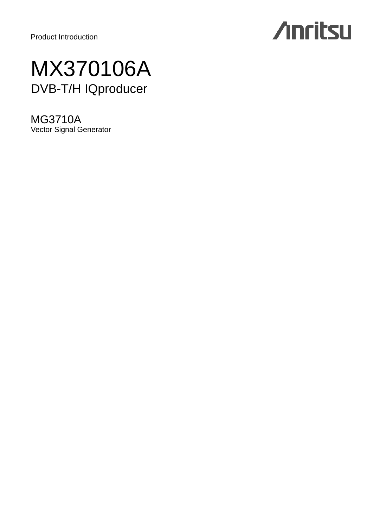Product Introduction

# **Anritsu**

# MX370106A DVB-T/H IQproducer

MG3710A Vector Signal Generator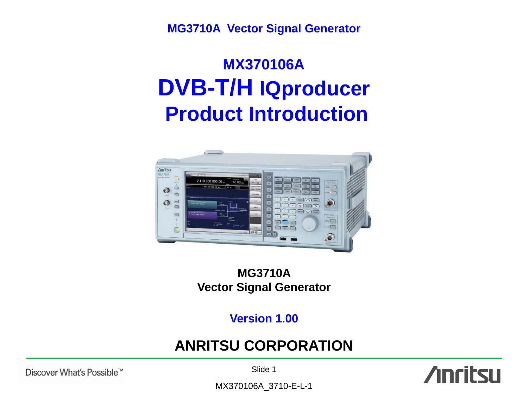**MG3710A Vector Signal Generator**

# **MX370106A DVB-T/H IQproducer Product Introduction**



## **MG3710A Vector Signal Generator**

## **Version 1.00**

## **ANRITSU CORPORATION**

Discover What's Possible™

Slide 1

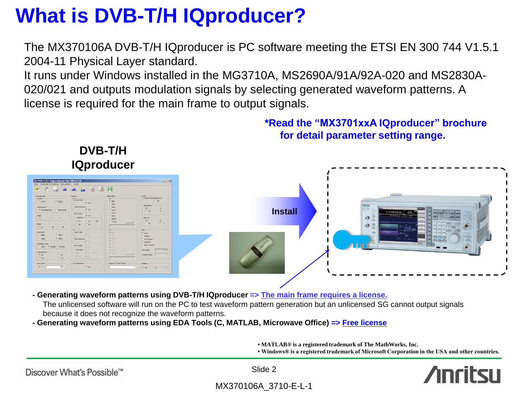The MX370106A DVB-T/H IQproducer is PC software meeting the ETSI EN 300 744 V1.5.1 2004-11 Physical Layer standard.

It runs under Windows installed in the MG3710A, MS2690A/91A/92A-020 and MS2830A-020/021 and outputs modulation signals by selecting generated waveform patterns. A license is required for the main frame to output signals.



- **- Generating waveform patterns using DVB-T/H IQproducer => The main frame requires a license.** The unlicensed software will run on the PC to test waveform pattern generation but an unlicensed SG cannot output signals because it does not recognize the waveform patterns.
- **- Generating waveform patterns using EDA Tools (C, MATLAB, Microwave Office) => Free license**

**• MATLAB® is a registered trademark of The MathWorks, Inc.**

**• Windows® is a registered trademark of Microsoft Corporation in the USA and other countries.**



Discover What's Possible™

Slide 2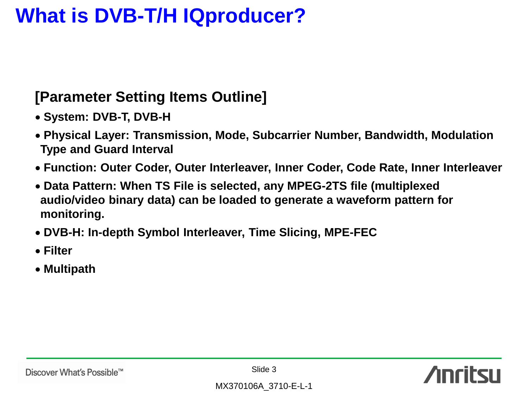# **[Parameter Setting Items Outline]**

- **System: DVB-T, DVB-H**
- **Physical Layer: Transmission, Mode, Subcarrier Number, Bandwidth, Modulation Type and Guard Interval**
- **Function: Outer Coder, Outer Interleaver, Inner Coder, Code Rate, Inner Interleaver**
- **Data Pattern: When TS File is selected, any MPEG-2TS file (multiplexed audio/video binary data) can be loaded to generate a waveform pattern for monitoring.**
- **DVB-H: In-depth Symbol Interleaver, Time Slicing, MPE-FEC**
- **Filter**
- **Multipath**

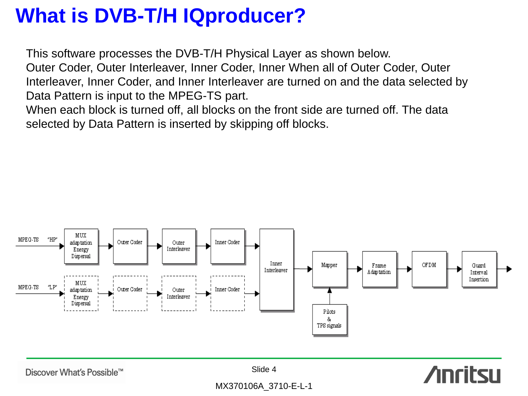This software processes the DVB-T/H Physical Layer as shown below. Outer Coder, Outer Interleaver, Inner Coder, Inner When all of Outer Coder, Outer Interleaver, Inner Coder, and Inner Interleaver are turned on and the data selected by Data Pattern is input to the MPEG-TS part.

When each block is turned off, all blocks on the front side are turned off. The data selected by Data Pattern is inserted by skipping off blocks.



Discover What's Possible™

Slide 4

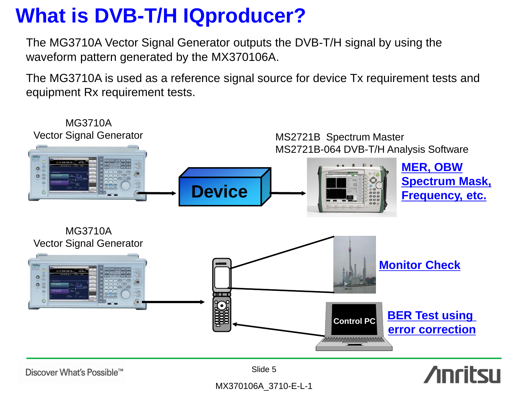The MG3710A Vector Signal Generator outputs the DVB-T/H signal by using the waveform pattern generated by the MX370106A.

The MG3710A is used as a reference signal source for device Tx requirement tests and equipment Rx requirement tests.



Discover What's Possible™

Slide 5

# **Anritsu**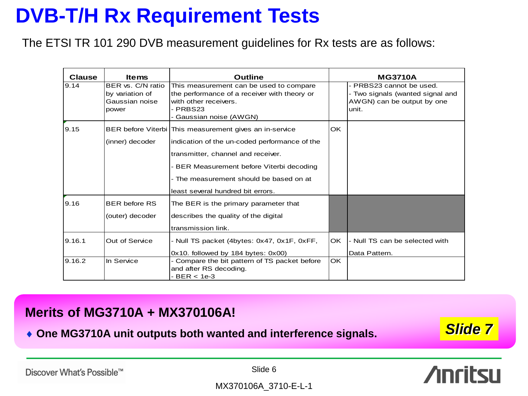# **DVB-T/H Rx Requirement Tests**

The ETSI TR 101 290 DVB measurement guidelines for Rx tests are as follows:

| <b>Clause</b> | <b>Items</b>                                                    | <b>Outline</b>                                                                                                                                                                                                                                                                |           | <b>MG3710A</b>                                                                                      |  |
|---------------|-----------------------------------------------------------------|-------------------------------------------------------------------------------------------------------------------------------------------------------------------------------------------------------------------------------------------------------------------------------|-----------|-----------------------------------------------------------------------------------------------------|--|
| 9.14          | BER vs. C/N ratio<br>by variation of<br>Gaussian noise<br>power | This measurement can be used to compare<br>the performance of a receiver with theory or<br>with other receivers.<br>- PRBS23<br>- Gaussian noise (AWGN)                                                                                                                       |           | - PRBS23 cannot be used.<br>- Two signals (wanted signal and<br>AWGN) can be output by one<br>unit. |  |
| 9.15          | (inner) decoder                                                 | BER before Viterbi   This measurement gives an in-service<br>indication of the un-coded performance of the<br>transmitter, channel and receiver.<br>- BER Measurement before Viterbi decoding<br>- The measurement should be based on at<br>least several hundred bit errors. | OK.       |                                                                                                     |  |
| 9.16          | <b>BER before RS</b><br>(outer) decoder                         | The BER is the primary parameter that<br>describes the quality of the digital<br>transmission link.                                                                                                                                                                           |           |                                                                                                     |  |
| 9.16.1        | Out of Service                                                  | - Null TS packet (4bytes: 0x47, 0x1F, 0xFF,<br>0x10. followed by 184 bytes: 0x00)                                                                                                                                                                                             | lOK.      | - Null TS can be selected with<br>Data Pattern.                                                     |  |
| 9.16.2        | In Service                                                      | - Compare the bit pattern of TS packet before<br>and after RS decoding.<br>- BER < 1e-3                                                                                                                                                                                       | <b>OK</b> |                                                                                                     |  |

## **Merits of MG3710A + MX370106A!**

◆ One MG3710A unit outputs both wanted and interference signals. **Slide 7** 

Discover What's Possible™

Slide 6

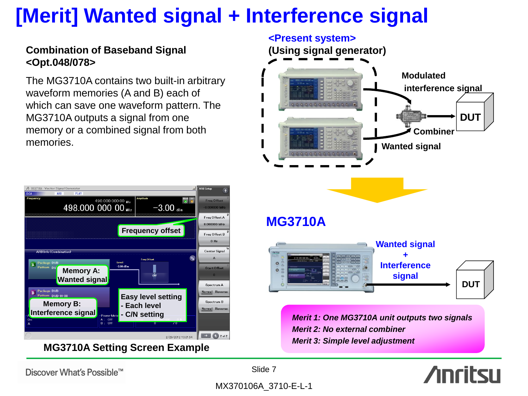# **[Merit] Wanted signal + Interference signal**

## **Combination of Baseband Signal <Opt.048/078>**

The MG3710A contains two built-in arbitrary waveform memories (A and B) each of which can save one waveform pattern. The MG3710A outputs a signal from one memory or a combined signal from both memories.



**MG3710A Setting Screen Example**



**Anritsu** 

Discover What's Possible™

Slide 7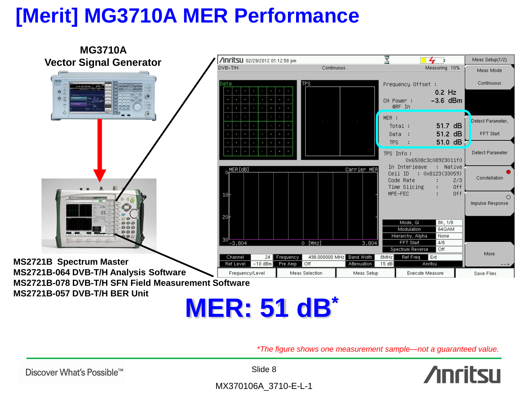# **[Merit] MG3710A MER Performance**



*\*The figure shows one measurement sample—not a guaranteed value.* 

Slide 8

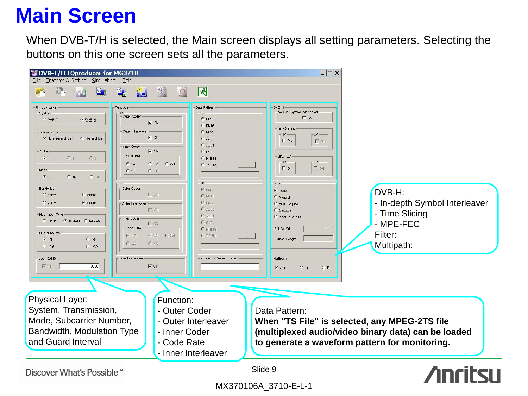# **Main Screen**

When DVB-T/H is selected, the Main screen displays all setting parameters. Selecting the buttons on this one screen sets all the parameters.

| DVB-T/H IQproducer for MG3710<br>Transfer & Setting Simulation<br>File                                                                                                                                                                                                                                                                                                                                                               | Edit                                                                                                                                                                                                                                                                                                                                                                                                                                                 |                                                                                                                                                                                                                                                               | $  \mathbf{X}$                                                                                                                                                                                                                                                                                                                                                           |                                                                                                                                                        |
|--------------------------------------------------------------------------------------------------------------------------------------------------------------------------------------------------------------------------------------------------------------------------------------------------------------------------------------------------------------------------------------------------------------------------------------|------------------------------------------------------------------------------------------------------------------------------------------------------------------------------------------------------------------------------------------------------------------------------------------------------------------------------------------------------------------------------------------------------------------------------------------------------|---------------------------------------------------------------------------------------------------------------------------------------------------------------------------------------------------------------------------------------------------------------|--------------------------------------------------------------------------------------------------------------------------------------------------------------------------------------------------------------------------------------------------------------------------------------------------------------------------------------------------------------------------|--------------------------------------------------------------------------------------------------------------------------------------------------------|
| $\Delta$<br>Physical Layer<br>-System<br>$O$ DVB-H<br>C DVB-T<br>- Transmission<br>C Non-hierarchical<br>C Hierarchica<br>Alpha<br>G <sub>1</sub><br>C <sub>2</sub><br>$C_4$<br>Mode<br>62K<br>C.4K<br>C.8K<br>Bandwidth<br>$C$ 5MHz<br>$C$ 6MHz<br>$G$ 8MHz<br>C 7MHz<br>Modulation Type<br>C QPSK 6 16QAM C 64QAM<br>-Guard Interval<br>$G$ 1/4<br>C <sub>1/8</sub><br>$C$ 1/32<br>$C$ 1/16<br>User Cell ID<br>$\nabla$ ON<br>0000 | $\mathcal{R}_{0}$<br>$\frac{M}{L}$<br>$\bigcap$<br>ALL <sub>1</sub><br>Function<br>Outer Coder<br>$\nabla$ ON<br>-Outer Interleaver<br>$\nabla$ ON<br>-Inner Coder<br>$\nabla$ ON<br>Code Rate<br>$G = 1/2$<br>C2B<br>$C$ 3/4<br>$C$ 5/6<br>$C$ 7/8<br>Outer Coder<br>$\Gamma$ on<br>Outer Interleaver<br>$\Gamma$ ON<br>Inner Coder<br>$\Gamma$ ON<br>-Code Rate<br>$G = 1/2$<br>C2B<br>$C$ 3/4<br>C.5/6<br>C78<br>Inner Interleaver<br>$\nabla$ ON | 冈<br>Data Pattern<br><b>HP</b><br>$C$ PN9<br>C PN15<br>$C$ PN23<br>C ALLO<br>$C$ ALL1<br>$C$ 0101<br>C Null TS<br>C TS File<br>LP-<br>$C$ PNS<br>$C$ PN15<br>$C$ PN23<br>$C$ ALLO<br>C ALL1<br>$C$ 0101<br>C Null TS<br>$C$ TS File<br>Number of Super Frames | DVB-H<br>In-depth Symbol Interleaver<br>$\Gamma$ ON<br>Time Slicing<br>LP<br>HP<br>$\Gamma$ ON<br>$\Gamma$ on<br>MPE-FEC<br>$LP -$<br>HP<br>$\Gamma$ on<br>$\Gamma$ ON<br>Filter<br>$\sqrt{\bullet}$ None<br>C Nyquist<br>Root Nyquist<br><b>C</b> Gaussian<br>C Ideal Lowpass<br>Roll Off/BT<br>0.100<br>Symbol Length<br>Multipath<br>1<br>$G$ OFF<br>$C$ P1<br>$C$ F1 | DVB-H:<br>- In-depth Symbol Interleaver<br>- Time Slicing<br>- MPE-FEC<br>Filter:<br>Multipath:                                                        |
| Physical Layer:<br>System, Transmission,<br>Mode, Subcarrier Number,<br>Bandwidth, Modulation Type<br>and Guard Interval                                                                                                                                                                                                                                                                                                             | Function:<br>- Outer Coder<br>- Inner Coder<br>- Code Rate                                                                                                                                                                                                                                                                                                                                                                                           | - Outer Interleaver<br>- Inner Interleaver                                                                                                                                                                                                                    | Data Pattern:                                                                                                                                                                                                                                                                                                                                                            | When "TS File" is selected, any MPEG-2TS file<br>(multiplexed audio/video binary data) can be loaded<br>to generate a waveform pattern for monitoring. |
| Discover What's Possible™                                                                                                                                                                                                                                                                                                                                                                                                            |                                                                                                                                                                                                                                                                                                                                                                                                                                                      |                                                                                                                                                                                                                                                               | Slide 9                                                                                                                                                                                                                                                                                                                                                                  | ncitcı                                                                                                                                                 |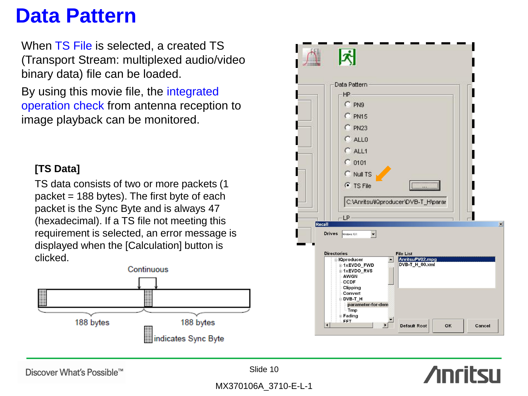# **Data Pattern**

When TS File is selected, a created TS (Transport Stream: multiplexed audio/video binary data) file can be loaded.

By using this movie file, the integrated operation check from antenna reception to image playback can be monitored.

## **[TS Data]**

TS data consists of two or more packets (1 packet  $= 188$  bytes). The first byte of each packet is the Sync Byte and is always 47 (hexadecimal). If a TS file not meeting this requirement is selected, an error message is displayed when the [Calculation] button is clicked.





**Anritsu** 

Discover What's Possible™

Slide 10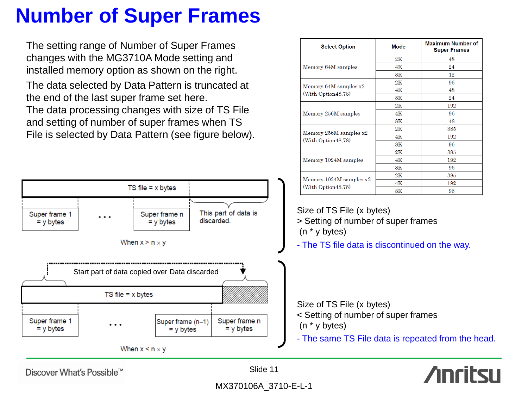# **Number of Super Frames**

The setting range of Number of Super Frames changes with the MG3710A Mode setting and installed memory option as shown on the right.

The data selected by Data Pattern is truncated at the end of the last super frame set here. The data processing changes with size of TS File and setting of number of super frames when TS File is selected by Data Pattern (see figure below).



| <b>Select Option</b>                              | <b>Mode</b>   | <b>Maximum Number of</b><br><b>Super Frames</b> |
|---------------------------------------------------|---------------|-------------------------------------------------|
|                                                   | $2\mathrm{K}$ | 48                                              |
| Memory 64M samples                                | 4K            | 24                                              |
|                                                   | 8К            | 12                                              |
|                                                   | $2\mathrm{K}$ | 96                                              |
| Memory 64M samples x2<br>(With Option 48,78)      | 4K            | 48                                              |
|                                                   | 8K            | 24                                              |
|                                                   | $2\mathrm{K}$ | 192                                             |
| Memory 256M samples                               | 4K            | 96                                              |
|                                                   | 8K            | 48                                              |
|                                                   | $2\mathrm{K}$ | 385                                             |
| Memory $256M$ samples $x2$<br>(With Option 48,78) | 4Κ            | 192                                             |
|                                                   | 8K            | 96                                              |
|                                                   | 2K            | 385                                             |
| Memory 1024M samples                              | 4K            | 192                                             |
|                                                   | 8K            | 96                                              |
|                                                   | $2\mathrm{K}$ | 385                                             |
| Memory $1024M$ samples $x2$                       | 4Κ            | 192                                             |
| (With Option 48,78)                               | 8K            | 96                                              |

Size of TS File (x bytes) > Setting of number of super frames (n \* y bytes)

- The TS file data is discontinued on the way.

Size of TS File (x bytes)

- < Setting of number of super frames (n \* y bytes)
- The same TS File data is repeated from the head.



Slide 11

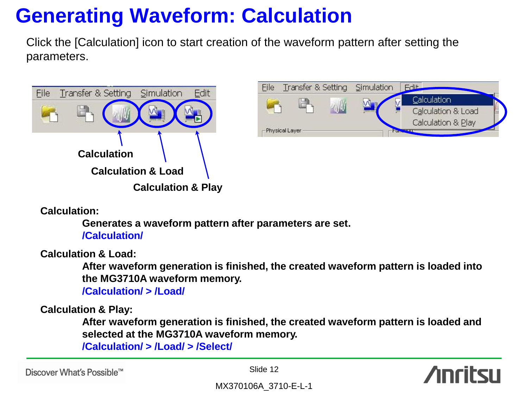# **Generating Waveform: Calculation**

Click the [Calculation] icon to start creation of the waveform pattern after setting the parameters.





**Calculation:**

**Generates a waveform pattern after parameters are set. /Calculation/**

**Calculation & Load:**

**After waveform generation is finished, the created waveform pattern is loaded into the MG3710A waveform memory.**

**/Calculation/ > /Load/**

**Calculation & Play:**

**After waveform generation is finished, the created waveform pattern is loaded and selected at the MG3710A waveform memory.**

**/Calculation/ > /Load/ > /Select/**

Discover What's Possible™

Slide 12

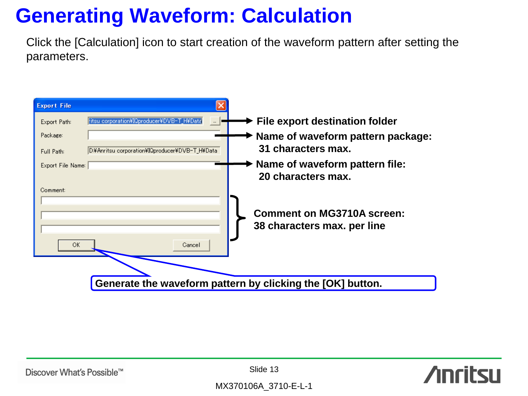# **Generating Waveform: Calculation**

Click the [Calculation] icon to start creation of the waveform pattern after setting the parameters.



Slide 13

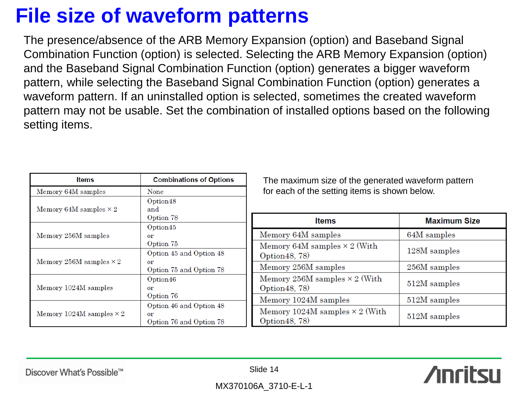# **File size of waveform patterns**

The presence/absence of the ARB Memory Expansion (option) and Baseband Signal Combination Function (option) is selected. Selecting the ARB Memory Expansion (option) and the Baseband Signal Combination Function (option) generates a bigger waveform pattern, while selecting the Baseband Signal Combination Function (option) generates a waveform pattern. If an uninstalled option is selected, sometimes the created waveform pattern may not be usable. Set the combination of installed options based on the following setting items.

| <b>Items</b>                    | <b>Combinations of Options</b>                           | The r                    |
|---------------------------------|----------------------------------------------------------|--------------------------|
| Memory 64M samples              | None                                                     | for ea                   |
| Memory 64M samples $\times 2$   | Option48<br>and<br>Option 78                             |                          |
| Memory 256M samples             | Option45<br>or<br>Option 75                              | Memor<br>Memor           |
| Memory 256M samples $\times$ 2  | Option 45 and Option 48<br>or<br>Option 75 and Option 78 | Option<br>Memor          |
| Memory 1024M samples            | Option46<br>or<br>Option 76                              | Memor<br>Option          |
| Memory 1024M samples $\times$ 2 | Option 46 and Option 48<br>or<br>Option 76 and Option 78 | Memor<br>Memor<br>Option |

maximum size of the generated waveform pattern ach of the setting items is shown below.

|          | <b>Items</b>                                            | <b>Maximum Size</b> |
|----------|---------------------------------------------------------|---------------------|
|          | Memory 64M samples                                      | 64M samples         |
| 48       | Memory 64M samples $\times$ 2 (With<br>Option 48, 78)   | 128M samples        |
| 78       | Memory 256M samples                                     | 256M samples        |
|          | Memory 256M samples $\times$ 2 (With<br>Option 48, 78)  | 512M samples        |
|          | Memory 1024M samples                                    | 512M samples        |
| 48<br>78 | Memory 1024M samples $\times$ 2 (With<br>Option 48, 78) | 512M samples        |

Discover What's Possible™

Slide 14